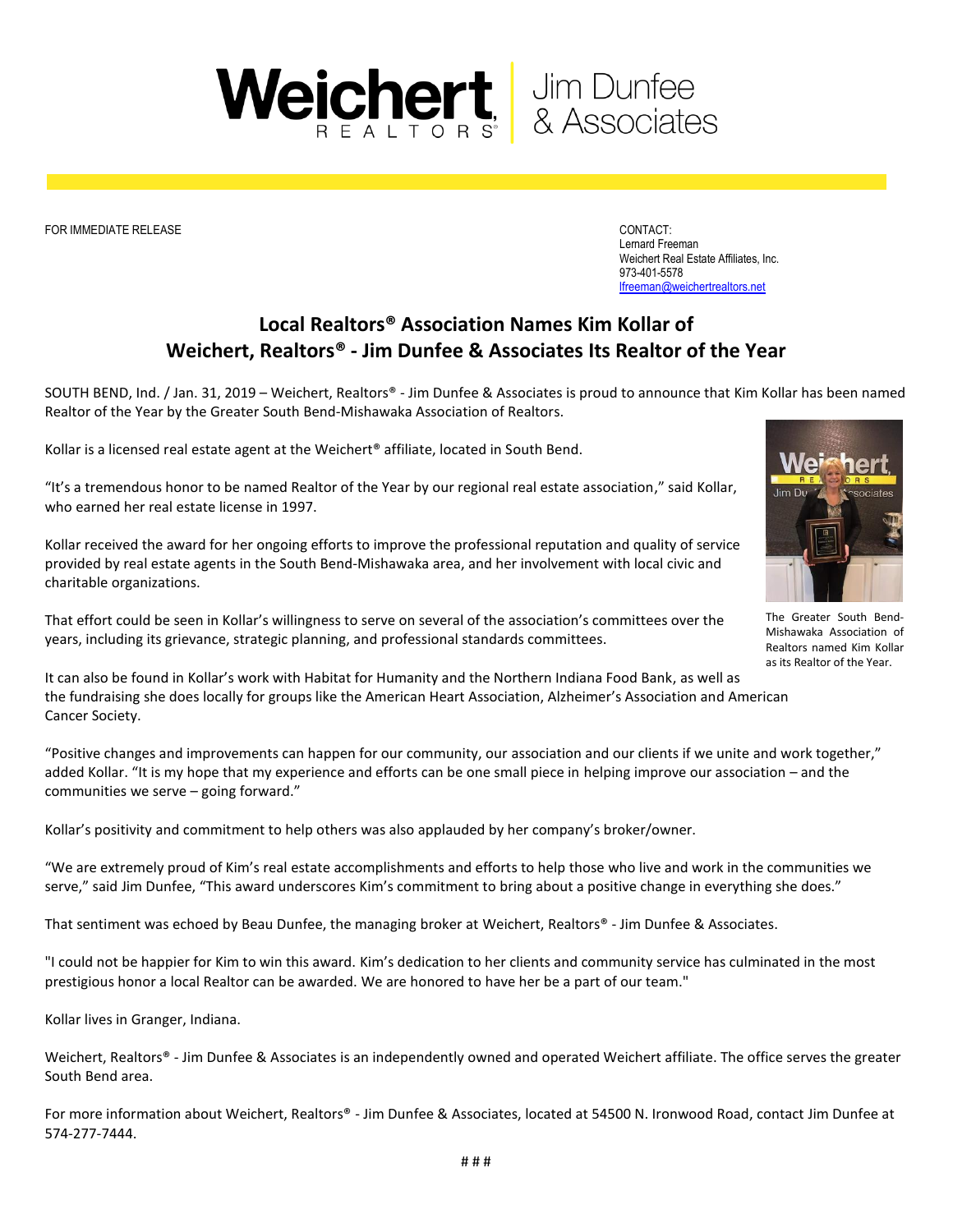

FOR IMMEDIATE RELEASE CONTACT:

Lernard Freeman Weichert Real Estate Affiliates, Inc. 973-401-5578 [lfreeman@weichertrealtors.net](mailto:lfreeman@weichertrealtors.net)

## **Local Realtors® Association Names Kim Kollar of Weichert, Realtors® - Jim Dunfee & Associates Its Realtor of the Year**

SOUTH BEND, Ind. / Jan. 31, 2019 – Weichert, Realtors® - Jim Dunfee & Associates is proud to announce that Kim Kollar has been named Realtor of the Year by the Greater South Bend-Mishawaka Association of Realtors.

Kollar is a licensed real estate agent at the Weichert<sup>®</sup> affiliate, located in South Bend.

"It's a tremendous honor to be named Realtor of the Year by our regional real estate association," said Kollar, who earned her real estate license in 1997.

Kollar received the award for her ongoing efforts to improve the professional reputation and quality of service provided by real estate agents in the South Bend-Mishawaka area, and her involvement with local civic and charitable organizations.



The Greater South Bend-Mishawaka Association of Realtors named Kim Kollar as its Realtor of the Year.

That effort could be seen in Kollar's willingness to serve on several of the association's committees over the years, including its grievance, strategic planning, and professional standards committees.

It can also be found in Kollar's work with Habitat for Humanity and the Northern Indiana Food Bank, as well as the fundraising she does locally for groups like the American Heart Association, Alzheimer's Association and American Cancer Society.

"Positive changes and improvements can happen for our community, our association and our clients if we unite and work together," added Kollar. "It is my hope that my experience and efforts can be one small piece in helping improve our association – and the communities we serve – going forward."

Kollar's positivity and commitment to help others was also applauded by her company's broker/owner.

"We are extremely proud of Kim's real estate accomplishments and efforts to help those who live and work in the communities we serve," said Jim Dunfee, "This award underscores Kim's commitment to bring about a positive change in everything she does."

That sentiment was echoed by Beau Dunfee, the managing broker at Weichert, Realtors® - Jim Dunfee & Associates.

"I could not be happier for Kim to win this award. Kim's dedication to her clients and community service has culminated in the most prestigious honor a local Realtor can be awarded. We are honored to have her be a part of our team."

Kollar lives in Granger, Indiana.

Weichert, Realtors® - Jim Dunfee & Associates is an independently owned and operated Weichert affiliate. The office serves the greater South Bend area.

For more information about Weichert, Realtors® - Jim Dunfee & Associates, located at 54500 N. Ironwood Road, contact Jim Dunfee at 574-277-7444.